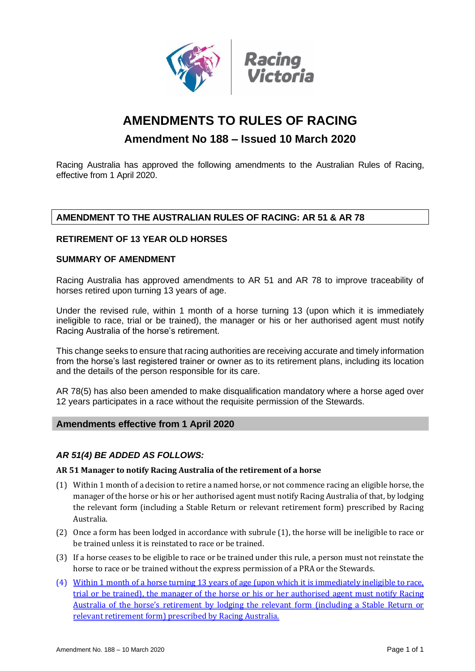

# **AMENDMENTS TO RULES OF RACING**

# **Amendment No 188 – Issued 10 March 2020**

Racing Australia has approved the following amendments to the Australian Rules of Racing, effective from 1 April 2020.

# **AMENDMENT TO THE AUSTRALIAN RULES OF RACING: AR 51 & AR 78**

# **RETIREMENT OF 13 YEAR OLD HORSES**

## **SUMMARY OF AMENDMENT**

Racing Australia has approved amendments to AR 51 and AR 78 to improve traceability of horses retired upon turning 13 years of age.

Under the revised rule, within 1 month of a horse turning 13 (upon which it is immediately ineligible to race, trial or be trained), the manager or his or her authorised agent must notify Racing Australia of the horse's retirement.

This change seeks to ensure that racing authorities are receiving accurate and timely information from the horse's last registered trainer or owner as to its retirement plans, including its location and the details of the person responsible for its care.

AR 78(5) has also been amended to make disqualification mandatory where a horse aged over 12 years participates in a race without the requisite permission of the Stewards.

#### **Amendments effective from 1 April 2020**

# *AR 51(4) BE ADDED AS FOLLOWS:*

#### **AR 51 Manager to notify Racing Australia of the retirement of a horse**

- (1) Within 1 month of a decision to retire a named horse, or not commence racing an eligible horse, the manager of the horse or his or her authorised agent must notify Racing Australia of that, by lodging the relevant form (including a Stable Return or relevant retirement form) prescribed by Racing Australia.
- (2) Once a form has been lodged in accordance with subrule (1), the horse will be ineligible to race or be trained unless it is reinstated to race or be trained.
- (3) If a horse ceases to be eligible to race or be trained under this rule, a person must not reinstate the horse to race or be trained without the express permission of a PRA or the Stewards.
- (4) Within 1 month of a horse turning 13 years of age (upon which it is immediately ineligible to race, trial or be trained), the manager of the horse or his or her authorised agent must notify Racing Australia of the horse's retirement by lodging the relevant form (including a Stable Return or relevant retirement form) prescribed by Racing Australia.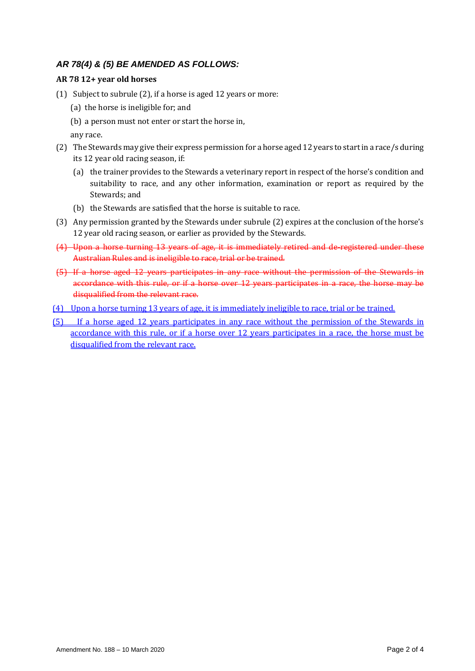# *AR 78(4) & (5) BE AMENDED AS FOLLOWS:*

#### **AR 78 12+ year old horses**

- (1) Subject to subrule (2), if a horse is aged 12 years or more:
	- (a) the horse is ineligible for; and
	- (b) a person must not enter or start the horse in,

any race.

- (2) The Stewards may give their express permission for a horse aged 12 years to start in a race/s during its 12 year old racing season, if:
	- (a) the trainer provides to the Stewards a veterinary report in respect of the horse's condition and suitability to race, and any other information, examination or report as required by the Stewards; and
	- (b) the Stewards are satisfied that the horse is suitable to race.
- (3) Any permission granted by the Stewards under subrule (2) expires at the conclusion of the horse's 12 year old racing season, or earlier as provided by the Stewards.
- (4) Upon a horse turning 13 years of age, it is immediately retired and de-registered under these Australian Rules and is ineligible to race, trial or be trained.
- (5) If a horse aged 12 years participates in any race without the permission of the Stewards in accordance with this rule, or if a horse over 12 years participates in a race, the horse may be disqualified from the relevant race.
- (4) Upon a horse turning 13 years of age, it is immediately ineligible to race, trial or be trained.
- (5) If a horse aged 12 years participates in any race without the permission of the Stewards in accordance with this rule, or if a horse over 12 years participates in a race, the horse must be disqualified from the relevant race.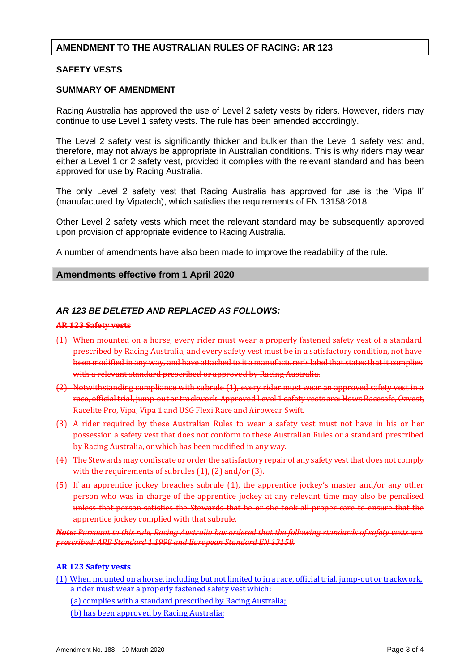## **AMENDMENT TO THE AUSTRALIAN RULES OF RACING: AR 123**

#### **SAFETY VESTS**

#### **SUMMARY OF AMENDMENT**

Racing Australia has approved the use of Level 2 safety vests by riders. However, riders may continue to use Level 1 safety vests. The rule has been amended accordingly.

The Level 2 safety vest is significantly thicker and bulkier than the Level 1 safety vest and, therefore, may not always be appropriate in Australian conditions. This is why riders may wear either a Level 1 or 2 safety vest, provided it complies with the relevant standard and has been approved for use by Racing Australia.

The only Level 2 safety vest that Racing Australia has approved for use is the 'Vipa II' (manufactured by Vipatech), which satisfies the requirements of EN 13158:2018.

Other Level 2 safety vests which meet the relevant standard may be subsequently approved upon provision of appropriate evidence to Racing Australia.

A number of amendments have also been made to improve the readability of the rule.

#### **Amendments effective from 1 April 2020**

### *AR 123 BE DELETED AND REPLACED AS FOLLOWS:*

#### **AR 123 Safety vests**

- (1) When mounted on a horse, every rider must wear a properly fastened safety vest of a standard prescribed by Racing Australia, and every safety vest must be in a satisfactory condition, not have been modified in any way, and have attached to it a manufacturer's label that states that it complies with a relevant standard prescribed or approved by Racing Australia.
- (2) Notwithstanding compliance with subrule (1), every rider must wear an approved safety vest in a race, official trial, jump-out or trackwork. Approved Level 1 safety vests are: Hows Racesafe, Ozvest, Racelite Pro, Vipa, Vipa 1 and USG Flexi Race and Airowear Swift.
- (3) A rider required by these Australian Rules to wear a safety vest must not have in his or her possession a safety vest that does not conform to these Australian Rules or a standard prescribed by Racing Australia, or which has been modified in any way.
- (4) The Stewards may confiscate or order the satisfactory repair of any safety vest that does not comply with the requirements of subrules (1), (2) and/or (3).
- (5) If an apprentice jockey breaches subrule (1), the apprentice jockey's master and/or any other person who was in charge of the apprentice jockey at any relevant time may also be penalised unless that person satisfies the Stewards that he or she took all proper care to ensure that the apprentice jockey complied with that subrule.

*Note: Pursuant to this rule, Racing Australia has ordered that the following standards of safety vests are prescribed: ARB Standard 1.1998 and European Standard EN 13158.*

#### **AR 123 Safety vests**

- (1) When mounted on a horse, including but not limited to in a race, official trial, jump-out or trackwork, a rider must wear a properly fastened safety vest which:
	- (a) complies with a standard prescribed by Racing Australia;
	- (b) has been approved by Racing Australia;